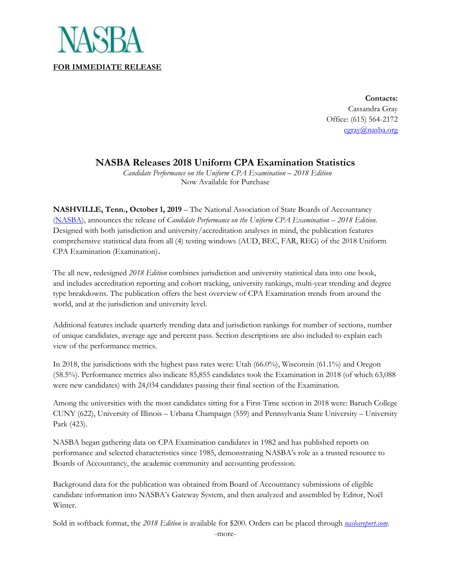

**Contacts:** Cassandra Gray Office: (615) 564-2172 [cgray@nasba.org](mailto:tkenny@nasba.org)

## **NASBA Releases 2018 Uniform CPA Examination Statistics**

 *Candidate Performance on the Uniform CPA Examination* – *2018 Edition* Now Available for Purchase

**NASHVILLE, Tenn., October 1, 2019** – The National Association of State Boards of Accountancy [\(NASBA\)](http://www.nasba.org/products/nasbareport/), announces the release of *Candidate Performance on the Uniform CPA Examination – 2018 Edition.* Designed with both jurisdiction and university/accreditation analyses in mind, the publication features comprehensive statistical data from all (4) testing windows (AUD, BEC, FAR, REG) of the 2018 Uniform CPA Examination (Examination).

The all new, redesigned *2018 Edition* combines jurisdiction and university statistical data into one book, and includes accreditation reporting and cohort tracking, university rankings, multi-year trending and degree type breakdowns. The publication offers the best overview of CPA Examination trends from around the world, and at the jurisdiction and university level.

Additional features include quarterly trending data and jurisdiction rankings for number of sections, number of unique candidates, average age and percent pass. Section descriptions are also included to explain each view of the performance metrics.

In 2018, the jurisdictions with the highest pass rates were: Utah (66.0%), Wisconsin (61.1%) and Oregon (58.5%). Performance metrics also indicate 85,855 candidates took the Examination in 2018 (of which 63,088 were new candidates) with 24,034 candidates passing their final section of the Examination.

Among the universities with the most candidates sitting for a First-Time section in 2018 were: Baruch College CUNY (622), University of Illinois – Urbana Champaign (559) and Pennsylvania State University – University Park (423).

NASBA began gathering data on CPA Examination candidates in 1982 and has published reports on performance and selected characteristics since 1985, demonstrating NASBA's role as a trusted resource to Boards of Accountancy, the academic community and accounting profession.

Background data for the publication was obtained from Board of Accountancy submissions of eligible candidate information into NASBA's Gateway System, and then analyzed and assembled by Editor, Noël Winter.

Sold in softback format, the *2018 Edition* is available for \$200. Orders can be placed through *[nasbareport.com](https://www.nasbareport.com/)*.